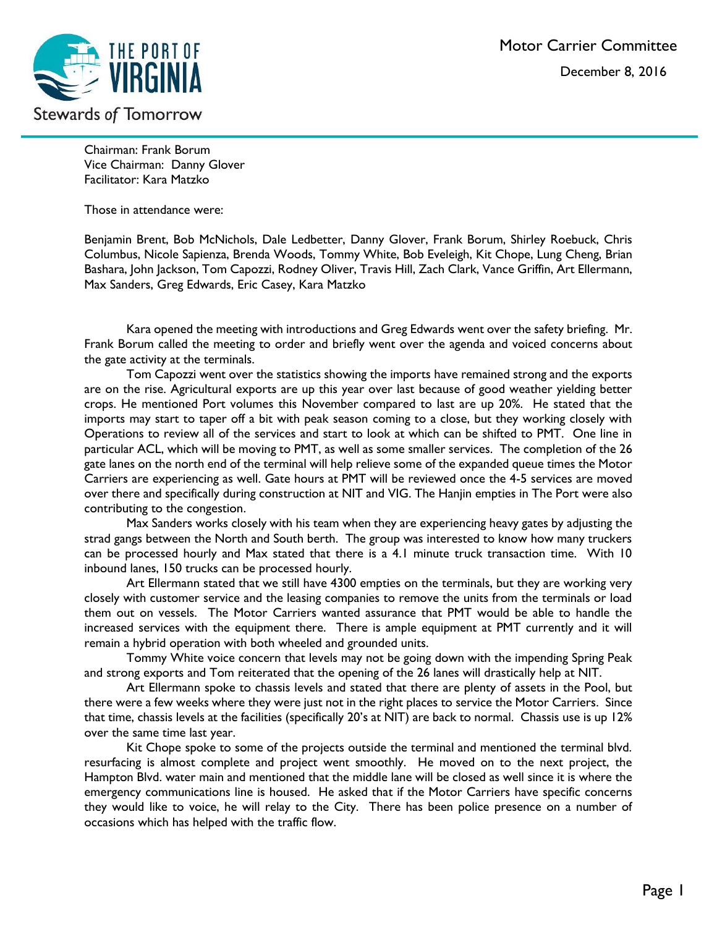

Chairman: Frank Borum Vice Chairman: Danny Glover Facilitator: Kara Matzko

Those in attendance were:

Benjamin Brent, Bob McNichols, Dale Ledbetter, Danny Glover, Frank Borum, Shirley Roebuck, Chris Columbus, Nicole Sapienza, Brenda Woods, Tommy White, Bob Eveleigh, Kit Chope, Lung Cheng, Brian Bashara, John Jackson, Tom Capozzi, Rodney Oliver, Travis Hill, Zach Clark, Vance Griffin, Art Ellermann, Max Sanders, Greg Edwards, Eric Casey, Kara Matzko

Kara opened the meeting with introductions and Greg Edwards went over the safety briefing. Mr. Frank Borum called the meeting to order and briefly went over the agenda and voiced concerns about the gate activity at the terminals.

Tom Capozzi went over the statistics showing the imports have remained strong and the exports are on the rise. Agricultural exports are up this year over last because of good weather yielding better crops. He mentioned Port volumes this November compared to last are up 20%. He stated that the imports may start to taper off a bit with peak season coming to a close, but they working closely with Operations to review all of the services and start to look at which can be shifted to PMT. One line in particular ACL, which will be moving to PMT, as well as some smaller services. The completion of the 26 gate lanes on the north end of the terminal will help relieve some of the expanded queue times the Motor Carriers are experiencing as well. Gate hours at PMT will be reviewed once the 4-5 services are moved over there and specifically during construction at NIT and VIG. The Hanjin empties in The Port were also contributing to the congestion.

Max Sanders works closely with his team when they are experiencing heavy gates by adjusting the strad gangs between the North and South berth. The group was interested to know how many truckers can be processed hourly and Max stated that there is a 4.1 minute truck transaction time. With 10 inbound lanes, 150 trucks can be processed hourly.

Art Ellermann stated that we still have 4300 empties on the terminals, but they are working very closely with customer service and the leasing companies to remove the units from the terminals or load them out on vessels. The Motor Carriers wanted assurance that PMT would be able to handle the increased services with the equipment there. There is ample equipment at PMT currently and it will remain a hybrid operation with both wheeled and grounded units.

Tommy White voice concern that levels may not be going down with the impending Spring Peak and strong exports and Tom reiterated that the opening of the 26 lanes will drastically help at NIT.

Art Ellermann spoke to chassis levels and stated that there are plenty of assets in the Pool, but there were a few weeks where they were just not in the right places to service the Motor Carriers. Since that time, chassis levels at the facilities (specifically 20's at NIT) are back to normal. Chassis use is up 12% over the same time last year.

Kit Chope spoke to some of the projects outside the terminal and mentioned the terminal blvd. resurfacing is almost complete and project went smoothly. He moved on to the next project, the Hampton Blvd. water main and mentioned that the middle lane will be closed as well since it is where the emergency communications line is housed. He asked that if the Motor Carriers have specific concerns they would like to voice, he will relay to the City. There has been police presence on a number of occasions which has helped with the traffic flow.